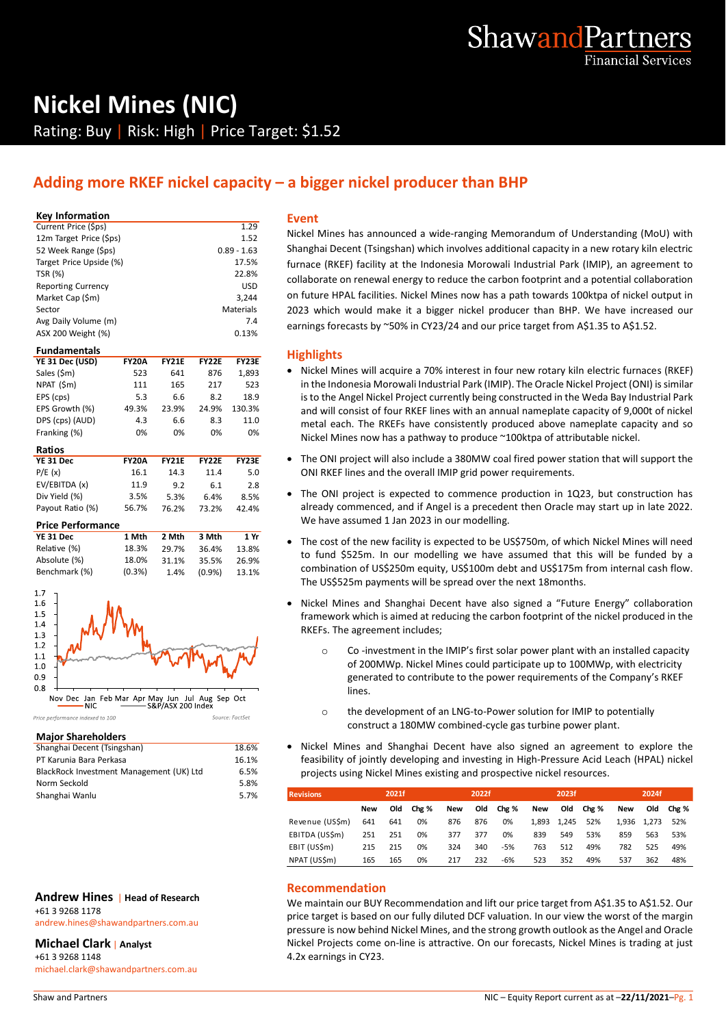

# **Nickel Mines (NIC)** Rating: Buy | Risk: High | Price Target: \$1.52

# **Adding more RKEF nickel capacity – a bigger nickel producer than BHP**

#### **Key Information**

| Current Price (\$ps)      | 1.29          |                |
|---------------------------|---------------|----------------|
| 12m Target Price (\$ps)   | 1.52          | N              |
| 52 Week Range (\$ps)      | $0.89 - 1.63$ | S              |
| Target Price Upside (%)   | 17.5%         | f١             |
| TSR (%)                   | 22.8%         | c              |
| <b>Reporting Currency</b> | <b>USD</b>    |                |
| Market Cap (\$m)          | 3.244         | O              |
| Sector                    | Materials     | $\overline{2}$ |
| Avg Daily Volume (m)      | 7.4           | e              |
| ASX 200 Weight (%)        | 0.13%         |                |

#### **Fundamentals**

| YE 31 Dec (USD) | <b>FY20A</b> | <b>FY21E</b> | <b>FY22E</b> | <b>FY23E</b> |
|-----------------|--------------|--------------|--------------|--------------|
|                 |              |              |              |              |
| Sales (\$m)     | 523          | 641          | 876          | 1.893        |
| NPAT (\$m)      | 111          | 165          | 217          | 523          |
| EPS (cps)       | 5.3          | 6.6          | 8.2          | 18.9         |
| EPS Growth (%)  | 49.3%        | 23.9%        | 24.9%        | 130.3%       |
| DPS (cps) (AUD) | 4.3          | 6.6          | 8.3          | 11.0         |
| Franking (%)    | 0%           | 0%           | 0%           | 0%           |

| Ratios           |              |              |       |              |  |
|------------------|--------------|--------------|-------|--------------|--|
| YE 31 Dec        | <b>FY20A</b> | <b>FY21E</b> | FY22F | <b>FY23E</b> |  |
| P/E(x)           | 16.1         | 14.3         | 11.4  | 5.0          |  |
| EV/EBITDA (x)    | 11.9         | 9.2          | 6.1   | 2.8          |  |
| Div Yield (%)    | 3.5%         | 5.3%         | 6.4%  | 8.5%         |  |
| Payout Ratio (%) | 56.7%        | 76.2%        | 73.2% | 42.4%        |  |

#### **Price Performance**

| YE 31 Dec     | 1 Mth     | 2 Mth | 3 Mth     | 1 Yr  |  |
|---------------|-----------|-------|-----------|-------|--|
| Relative (%)  | 18.3%     | 29.7% | 36.4%     | 13.8% |  |
| Absolute (%)  | 18.0%     | 31.1% | 35.5%     | 26.9% |  |
| Benchmark (%) | $(0.3\%)$ | 1.4%  | $(0.9\%)$ | 13.1% |  |



Price performance indexed to 100

#### **Major Shareholders**

| Shanghai Decent (Tsingshan)              | 18.6% |  |
|------------------------------------------|-------|--|
| PT Karunia Bara Perkasa                  | 16.1% |  |
| BlackRock Investment Management (UK) Ltd | 6.5%  |  |
| Norm Seckold                             | 5.8%  |  |
| Shanghai Wanlu                           | 5.7%  |  |

Source: FactSet

#### **Andrew Hines** | **Head of Research**

+61 3 9268 1178 andrew.hines@shawandpartners.com.au

#### **Michael Clark** | **Analyst**

+61 3 9268 1148 michael.clark@shawandpartners.com.au

#### **Event**

Nickel Mines has announced a wide-ranging Memorandum of Understanding (MoU) with Shanghai Decent (Tsingshan) which involves additional capacity in a new rotary kiln electric furnace (RKEF) facility at the Indonesia Morowali Industrial Park (IMIP), an agreement to collaborate on renewal energy to reduce the carbon footprint and a potential collaboration on future HPAL facilities. Nickel Mines now has a path towards 100ktpa of nickel output in 2023 which would make it a bigger nickel producer than BHP. We have increased our earnings forecasts by ~50% in CY23/24 and our price target from A\$1.35 to A\$1.52.

#### **Highlights**

- Nickel Mines will acquire a 70% interest in four new rotary kiln electric furnaces (RKEF) in the Indonesia Morowali Industrial Park (IMIP). The Oracle Nickel Project (ONI) is similar is to the Angel Nickel Project currently being constructed in the Weda Bay Industrial Park and will consist of four RKEF lines with an annual nameplate capacity of 9,000t of nickel metal each. The RKEFs have consistently produced above nameplate capacity and so Nickel Mines now has a pathway to produce ~100ktpa of attributable nickel.
- The ONI project will also include a 380MW coal fired power station that will support the ONI RKEF lines and the overall IMIP grid power requirements.
- The ONI project is expected to commence production in 1Q23, but construction has already commenced, and if Angel is a precedent then Oracle may start up in late 2022. We have assumed 1 Jan 2023 in our modelling.
- The cost of the new facility is expected to be US\$750m, of which Nickel Mines will need to fund \$525m. In our modelling we have assumed that this will be funded by a combination of US\$250m equity, US\$100m debt and US\$175m from internal cash flow. The US\$525m payments will be spread over the next 18months.
- Nickel Mines and Shanghai Decent have also signed a "Future Energy" collaboration framework which is aimed at reducing the carbon footprint of the nickel produced in the RKEFs. The agreement includes;
	- o Co -investment in the IMIP's first solar power plant with an installed capacity of 200MWp. Nickel Mines could participate up to 100MWp, with electricity generated to contribute to the power requirements of the Company's RKEF lines.
	- o the development of an LNG-to-Power solution for IMIP to potentially construct a 180MW combined-cycle gas turbine power plant.
- Nickel Mines and Shanghai Decent have also signed an agreement to explore the feasibility of jointly developing and investing in High-Pressure Acid Leach (HPAL) nickel projects using Nickel Mines existing and prospective nickel resources.

| <b>Revisions</b> |     | 2021f |       |     | 2022f |       |     | 2023f       |       |       | 2024f |       |
|------------------|-----|-------|-------|-----|-------|-------|-----|-------------|-------|-------|-------|-------|
|                  | New | Old   | Chg % | New | Old   | Chg % | New | Old         | Chg % | New   | Old   | Chg % |
| Revenue (USSm)   | 641 | 641   | 0%    | 876 | 876   | 0%    |     | 1.893 1.245 | 52%   | 1.936 | 1.273 | 52%   |
| EBITDA (US\$m)   | 251 | 251   | 0%    | 377 | 377   | 0%    | 839 | 549         | 53%   | 859   | 563   | 53%   |
| EBIT (US\$m)     | 215 | 215   | 0%    | 324 | 340   | $-5%$ | 763 | 512         | 49%   | 782   | 525   | 49%   |
| NPAT (US\$m)     | 165 | 165   | 0%    | 217 | 232   | -6%   | 523 | 352         | 49%   | 537   | 362   | 48%   |

#### **Recommendation**

We maintain our BUY Recommendation and lift our price target from A\$1.35 to A\$1.52. Our price target is based on our fully diluted DCF valuation. In our view the worst of the margin pressure is now behind Nickel Mines, and the strong growth outlook as the Angel and Oracle Nickel Projects come on-line is attractive. On our forecasts, Nickel Mines is trading at just 4.2x earnings in CY23.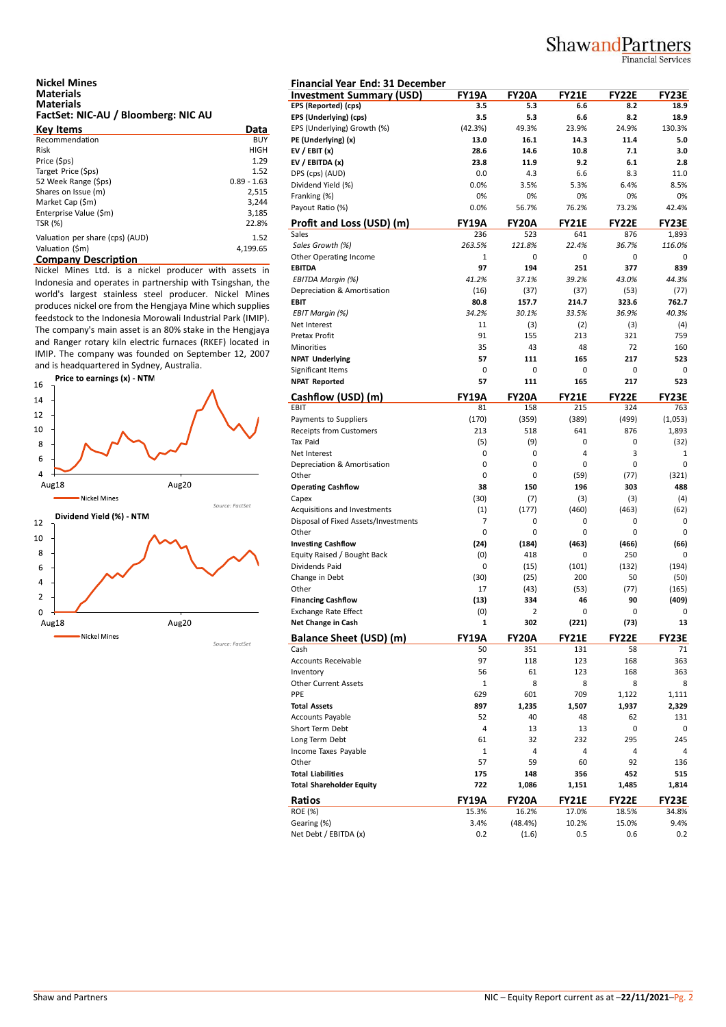# ShawandPartners

Financial Services

# **Nickel Mines Materials Materials FactSet: NIC-AU / Bloomberg: NIC AU**

| <b>Key Items</b>                | Data          | EP.       |
|---------------------------------|---------------|-----------|
| Recommendation                  | <b>BUY</b>    | PE        |
| <b>Risk</b>                     | <b>HIGH</b>   | EV        |
| Price (\$ps)                    | 1.29          | EV        |
| Target Price (\$ps)             | 1.52          | DP        |
| 52 Week Range (\$ps)            | $0.89 - 1.63$ | Di        |
| Shares on Issue (m)             | 2,515         | Fra       |
| Market Cap (\$m)                | 3,244         | Pa        |
| Enterprise Value (\$m)          | 3,185         |           |
| TSR (%)                         | 22.8%         | <u>Pr</u> |
| Valuation per share (cps) (AUD) | 1.52          | Sal       |
| Valuation (\$m)                 | 4.199.65      | Sc        |
| <b>Company Description</b>      |               | Ot        |

Nickel Mines Ltd. is a nickel producer with assets in Indonesia and operates in partnership with Tsingshan, the world's largest stainless steel producer. Nickel Mines produces nickel ore from the Hengjaya Mine which supplies feedstock to the Indonesia Morowali Industrial Park (IMIP). The company's main asset is an 80% stake in the Hengjaya and Ranger rotary kiln electric furnaces (RKEF) located in IMIP. The company was founded on September 12, 2007



| Financial Year End: 31 December<br><b>FY19A</b><br><b>Investment Summary (USD)</b><br><b>FY20A</b><br><b>FY21E</b><br>EPS (Reported) (cps)<br>3.5<br>5.3<br>EPS (Underlying) (cps)<br>3.5<br>5.3<br>EPS (Underlying) Growth (%)<br>(42.3%)<br>49.3%<br>23.9%<br>PE (Underlying) (x)<br>13.0<br>16.1<br>14.3<br>EV / EBIT $(x)$<br>28.6<br>10.8<br>14.6<br>23.8<br>EV / EBITDA (x)<br>11.9 |                              |
|-------------------------------------------------------------------------------------------------------------------------------------------------------------------------------------------------------------------------------------------------------------------------------------------------------------------------------------------------------------------------------------------|------------------------------|
|                                                                                                                                                                                                                                                                                                                                                                                           | <b>FY22E</b><br>FY23E        |
|                                                                                                                                                                                                                                                                                                                                                                                           | 6.6<br>8.2<br>18.9           |
|                                                                                                                                                                                                                                                                                                                                                                                           | 6.6<br>8.2<br>18.9           |
|                                                                                                                                                                                                                                                                                                                                                                                           | 24.9%<br>130.3%              |
|                                                                                                                                                                                                                                                                                                                                                                                           | 11.4<br>5.0                  |
|                                                                                                                                                                                                                                                                                                                                                                                           | 7.1<br>3.0                   |
|                                                                                                                                                                                                                                                                                                                                                                                           | 9.2<br>6.1<br>2.8            |
| 0.0<br>DPS (cps) (AUD)<br>4.3                                                                                                                                                                                                                                                                                                                                                             | 6.6<br>8.3<br>11.0           |
| Dividend Yield (%)<br>0.0%<br>3.5%<br>5.3%                                                                                                                                                                                                                                                                                                                                                | 6.4%<br>8.5%                 |
| Franking (%)<br>0%<br>0%                                                                                                                                                                                                                                                                                                                                                                  | 0%<br>0%<br>0%               |
| Payout Ratio (%)<br>0.0%<br>56.7%<br>76.2%                                                                                                                                                                                                                                                                                                                                                | 73.2%<br>42.4%               |
| Profit and Loss (USD) (m)<br><b>FY19A</b><br><b>FY21E</b><br><b>FY20A</b>                                                                                                                                                                                                                                                                                                                 | <b>FY22E</b><br><b>FY23E</b> |
| Sales<br>236<br>523<br>641                                                                                                                                                                                                                                                                                                                                                                | 876<br>1,893                 |
| Sales Growth (%)<br>263.5%<br>121.8%<br>22.4%                                                                                                                                                                                                                                                                                                                                             | 36.7%<br>116.0%              |
| Other Operating Income<br>$\mathbf{1}$<br>0                                                                                                                                                                                                                                                                                                                                               | 0<br>0<br>0                  |
| 97<br><b>EBITDA</b><br>194<br>251                                                                                                                                                                                                                                                                                                                                                         | 377<br>839                   |
| 41.2%<br>37.1%<br>39.2%                                                                                                                                                                                                                                                                                                                                                                   | 43.0%<br>44.3%               |
| EBITDA Margin (%)                                                                                                                                                                                                                                                                                                                                                                         |                              |
| Depreciation & Amortisation<br>(16)<br>(37)<br>(37)                                                                                                                                                                                                                                                                                                                                       | (53)<br>(77)                 |
| <b>EBIT</b><br>80.8<br>157.7<br>214.7                                                                                                                                                                                                                                                                                                                                                     | 323.6<br>762.7               |
| <b>EBIT Margin (%)</b><br>34.2%<br>30.1%<br>33.5%                                                                                                                                                                                                                                                                                                                                         | 36.9%<br>40.3%               |
| (3)<br>Net Interest<br>11                                                                                                                                                                                                                                                                                                                                                                 | (3)<br>(2)<br>(4)            |
| 91<br>155<br>213<br>Pretax Profit                                                                                                                                                                                                                                                                                                                                                         | 321<br>759                   |
| 35<br>43<br>Minorities                                                                                                                                                                                                                                                                                                                                                                    | 48<br>72<br>160              |
| <b>NPAT Underlying</b><br>57<br>111<br>165                                                                                                                                                                                                                                                                                                                                                | 217<br>523                   |
| Significant Items<br>0<br>0                                                                                                                                                                                                                                                                                                                                                               | 0<br>0<br>0                  |
| <b>NPAT Reported</b><br>57<br>111<br>165                                                                                                                                                                                                                                                                                                                                                  | 217<br>523                   |
| Cashflow (USD) (m)<br><b>FY19A</b><br><b>FY20A</b><br><b>FY21E</b>                                                                                                                                                                                                                                                                                                                        | <b>FY22E</b><br><b>FY23E</b> |
| 81<br>158<br>EBIT<br>215                                                                                                                                                                                                                                                                                                                                                                  | 324<br>763                   |
| Payments to Suppliers<br>(170)<br>(359)<br>(389)                                                                                                                                                                                                                                                                                                                                          | (499)<br>(1,053)             |
| <b>Receipts from Customers</b><br>213<br>518<br>641                                                                                                                                                                                                                                                                                                                                       | 876<br>1,893                 |
| (9)<br>Tax Paid<br>(5)                                                                                                                                                                                                                                                                                                                                                                    | 0<br>0<br>(32)               |
| 0<br>0<br>Net Interest                                                                                                                                                                                                                                                                                                                                                                    | 4<br>3<br>$\mathbf{1}$       |
| 0<br>0<br>Depreciation & Amortisation                                                                                                                                                                                                                                                                                                                                                     | 0<br>0<br>0                  |
| Other<br>0<br>0<br>(59)                                                                                                                                                                                                                                                                                                                                                                   | (77)<br>(321)                |
| <b>Operating Cashflow</b><br>38<br>196<br>150                                                                                                                                                                                                                                                                                                                                             | 303<br>488                   |
| (30)<br>Capex<br>(7)                                                                                                                                                                                                                                                                                                                                                                      | (3)<br>(3)<br>(4)            |
| (177)<br>(460)<br>Acquisitions and Investments<br>(1)                                                                                                                                                                                                                                                                                                                                     | (463)<br>(62)                |
| Disposal of Fixed Assets/Investments<br>7<br>0                                                                                                                                                                                                                                                                                                                                            | 0<br>0<br>0                  |
|                                                                                                                                                                                                                                                                                                                                                                                           | 0<br>0<br>0                  |
|                                                                                                                                                                                                                                                                                                                                                                                           |                              |
| 0<br>0                                                                                                                                                                                                                                                                                                                                                                                    | (466)<br>(66)                |
| (24)<br>(184)<br>(463)                                                                                                                                                                                                                                                                                                                                                                    |                              |
| (0)<br>418                                                                                                                                                                                                                                                                                                                                                                                | 250<br>0<br>0                |
| 0<br>(15)<br>(101)                                                                                                                                                                                                                                                                                                                                                                        | (132)<br>(194)               |
| (30)<br>(25)<br>200                                                                                                                                                                                                                                                                                                                                                                       | 50<br>(50)                   |
| Other<br><b>Investing Cashflow</b><br>Equity Raised / Bought Back<br>Dividends Paid<br>Change in Debt<br>17<br>Other<br>(43)<br>(53)                                                                                                                                                                                                                                                      | (77)<br>(165)                |
| <b>Financing Cashflow</b><br>(13)<br>334                                                                                                                                                                                                                                                                                                                                                  | 46<br>90<br>(409)            |
| <b>Exchange Rate Effect</b><br>(0)<br>2                                                                                                                                                                                                                                                                                                                                                   | 0<br>0<br>0                  |
| 302<br>(221)<br>1                                                                                                                                                                                                                                                                                                                                                                         | (73)<br>13                   |
|                                                                                                                                                                                                                                                                                                                                                                                           |                              |
| <b>FY19A</b><br><b>FY21E</b><br>FY20A<br>50<br>351<br>131                                                                                                                                                                                                                                                                                                                                 | FY22E<br>FY23E<br>58<br>71   |
|                                                                                                                                                                                                                                                                                                                                                                                           |                              |
| 118<br>97<br>123                                                                                                                                                                                                                                                                                                                                                                          | 168<br>363                   |
| 56<br>61<br>123                                                                                                                                                                                                                                                                                                                                                                           | 168<br>363                   |
| 8<br>1                                                                                                                                                                                                                                                                                                                                                                                    | 8<br>8<br>8                  |
| 601<br>629<br>709                                                                                                                                                                                                                                                                                                                                                                         | 1,122<br>1,111               |
| 897<br>1,235<br>1,507                                                                                                                                                                                                                                                                                                                                                                     | 1,937<br>2,329               |
| 52<br>40                                                                                                                                                                                                                                                                                                                                                                                  | 48<br>62<br>131              |
| 4<br>13                                                                                                                                                                                                                                                                                                                                                                                   | 13<br>0<br>0                 |
| 61<br>32<br>232                                                                                                                                                                                                                                                                                                                                                                           | 295<br>245                   |
| 1<br>4                                                                                                                                                                                                                                                                                                                                                                                    | 4<br>4<br>4                  |
| Net Change in Cash<br><b>Balance Sheet (USD) (m)</b><br>Cash<br>Accounts Receivable<br>Inventory<br><b>Other Current Assets</b><br>PPE<br><b>Total Assets</b><br><b>Accounts Payable</b><br>Short Term Debt<br>Long Term Debt<br>Income Taxes Payable<br>57<br>59<br>Other                                                                                                                | 60<br>92<br>136              |
| <b>Total Liabilities</b><br>175<br>148<br>356                                                                                                                                                                                                                                                                                                                                             | 452<br>515                   |
| 722<br>1,086<br>1,151                                                                                                                                                                                                                                                                                                                                                                     | 1,485<br>1,814               |
| <b>FY19A</b><br>FY20A<br>FY21E                                                                                                                                                                                                                                                                                                                                                            | FY22E<br><b>FY23E</b>        |
| 15.3%<br>17.0%<br>16.2%                                                                                                                                                                                                                                                                                                                                                                   | 18.5%<br>34.8%               |
| <b>Total Shareholder Equity</b><br>Ratios<br>ROE (%)<br>Gearing (%)<br>3.4%<br>(48.4%)<br>10.2%                                                                                                                                                                                                                                                                                           | 15.0%<br>9.4%                |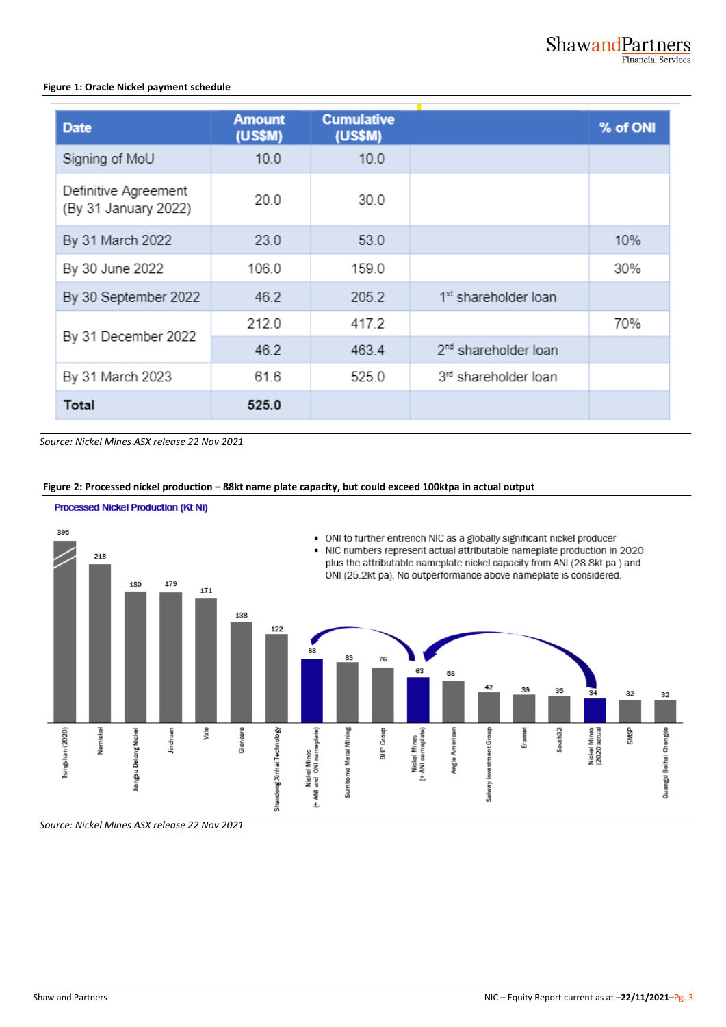#### **Figure 1: Oracle Nickel payment schedule**

| <b>Date</b>                                  | <b>Amount</b><br>(US\$M) | <b>Cumulative</b><br>(US\$M) |                                  | % of ONI |
|----------------------------------------------|--------------------------|------------------------------|----------------------------------|----------|
| Signing of MoU                               | 10.0                     | 10.0                         |                                  |          |
| Definitive Agreement<br>(By 31 January 2022) | 20.0                     | 30.0                         |                                  |          |
| By 31 March 2022                             | 23.0                     | 53.0                         |                                  | 10%      |
| By 30 June 2022                              | 106.0                    | 159.0                        |                                  | 30%      |
| By 30 September 2022                         | 46.2                     | 205.2                        | 1 <sup>st</sup> shareholder loan |          |
| By 31 December 2022                          | 212.0                    | 417.2                        |                                  | 70%      |
|                                              | 46.2                     | 463.4                        | 2 <sup>nd</sup> shareholder loan |          |
| By 31 March 2023                             | 61.6                     | 525.0                        | 3rd shareholder loan             |          |
| Total                                        | 525.0                    |                              |                                  |          |

*Source: Nickel Mines ASX release 22 Nov 2021*

#### **Figure 2: Processed nickel production – 88kt name plate capacity, but could exceed 100ktpa in actual output**



*Source: Nickel Mines ASX release 22 Nov 2021*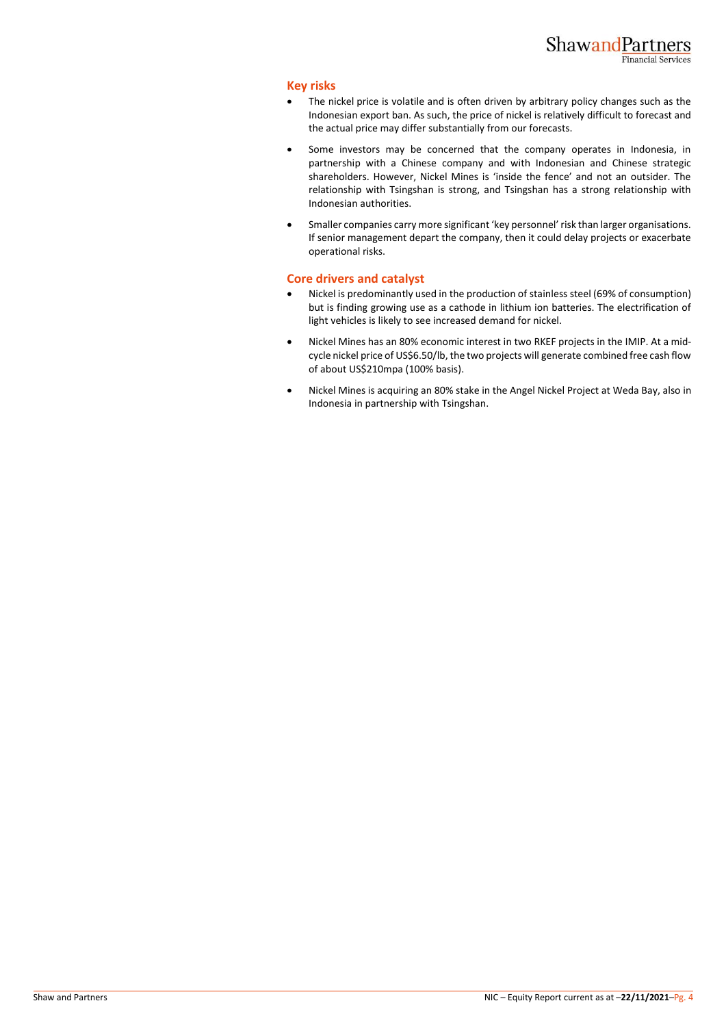#### **Key risks**

- The nickel price is volatile and is often driven by arbitrary policy changes such as the Indonesian export ban. As such, the price of nickel is relatively difficult to forecast and the actual price may differ substantially from our forecasts.
- Some investors may be concerned that the company operates in Indonesia, in partnership with a Chinese company and with Indonesian and Chinese strategic shareholders. However, Nickel Mines is 'inside the fence' and not an outsider. The relationship with Tsingshan is strong, and Tsingshan has a strong relationship with Indonesian authorities.
- Smaller companies carry more significant 'key personnel' risk than larger organisations. If senior management depart the company, then it could delay projects or exacerbate operational risks.

#### **Core drivers and catalyst**

- Nickel is predominantly used in the production of stainless steel (69% of consumption) but is finding growing use as a cathode in lithium ion batteries. The electrification of light vehicles is likely to see increased demand for nickel.
- Nickel Mines has an 80% economic interest in two RKEF projects in the IMIP. At a midcycle nickel price of US\$6.50/lb, the two projects will generate combined free cash flow of about US\$210mpa (100% basis).
- Nickel Mines is acquiring an 80% stake in the Angel Nickel Project at Weda Bay, also in Indonesia in partnership with Tsingshan.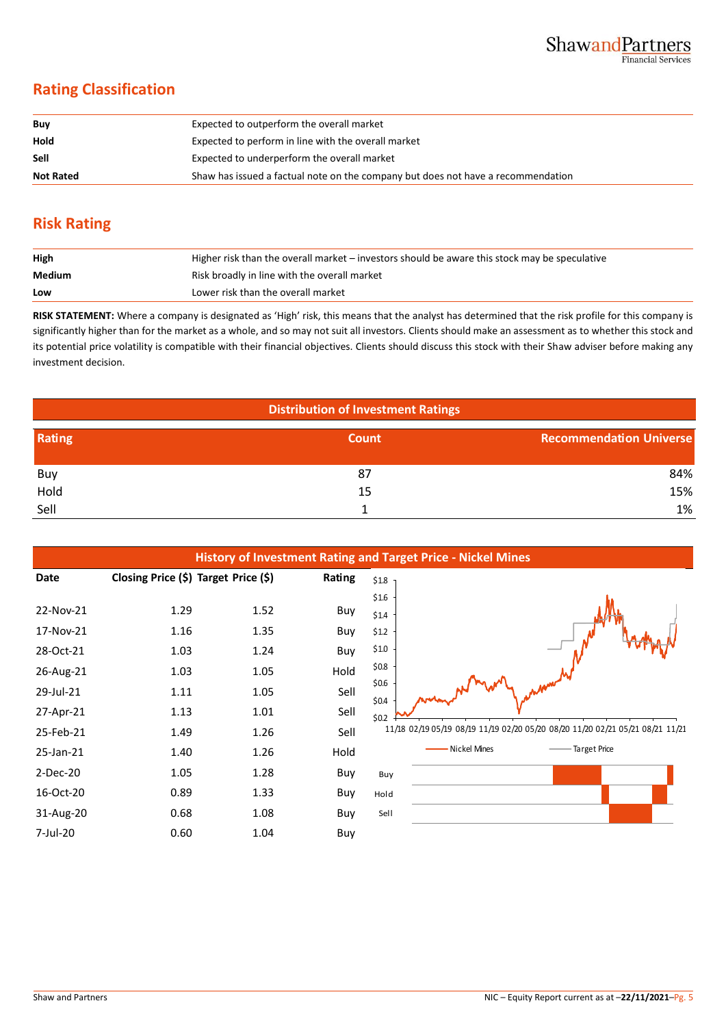## **Rating Classification**

| Buy              | Expected to outperform the overall market                                        |
|------------------|----------------------------------------------------------------------------------|
| Hold             | Expected to perform in line with the overall market                              |
| Sell             | Expected to underperform the overall market                                      |
| <b>Not Rated</b> | Shaw has issued a factual note on the company but does not have a recommendation |

## **Risk Rating**

| High   | Higher risk than the overall market – investors should be aware this stock may be speculative |
|--------|-----------------------------------------------------------------------------------------------|
| Medium | Risk broadly in line with the overall market                                                  |
| Low    | Lower risk than the overall market                                                            |

**RISK STATEMENT:** Where a company is designated as 'High' risk, this means that the analyst has determined that the risk profile for this company is significantly higher than for the market as a whole, and so may not suit all investors. Clients should make an assessment as to whether this stock and its potential price volatility is compatible with their financial objectives. Clients should discuss this stock with their Shaw adviser before making any investment decision.

| <b>Distribution of Investment Ratings</b> |       |                                |  |  |  |  |
|-------------------------------------------|-------|--------------------------------|--|--|--|--|
| Rating                                    | Count | <b>Recommendation Universe</b> |  |  |  |  |
| Buy                                       | 87    | 84%                            |  |  |  |  |
| Hold                                      | 15    | 15%                            |  |  |  |  |
| Sell                                      |       | 1%                             |  |  |  |  |

| <b>History of Investment Rating and Target Price - Nickel Mines</b>        |                                              |                                              |                                           |                                                                            |                                                                               |  |  |  |  |  |
|----------------------------------------------------------------------------|----------------------------------------------|----------------------------------------------|-------------------------------------------|----------------------------------------------------------------------------|-------------------------------------------------------------------------------|--|--|--|--|--|
| Date                                                                       | Closing Price (\$) Target Price (\$)         |                                              | Rating                                    | $$1.8$ ]                                                                   |                                                                               |  |  |  |  |  |
| 22-Nov-21<br>17-Nov-21<br>28-Oct-21<br>26-Aug-21<br>29-Jul-21<br>27-Apr-21 | 1.29<br>1.16<br>1.03<br>1.03<br>1.11<br>1.13 | 1.52<br>1.35<br>1.24<br>1.05<br>1.05<br>1.01 | Buy<br>Buy<br>Buy<br>Hold<br>Sell<br>Sell | \$1.6<br>\$1.4<br>\$1.2<br>\$1.0<br>\$0.8\$<br>\$0.6<br>\$0.4\$<br>\$0.2\$ |                                                                               |  |  |  |  |  |
| 25-Feb-21                                                                  | 1.49                                         | 1.26                                         | Sell                                      |                                                                            | 11/18 02/19 05/19 08/19 11/19 02/20 05/20 08/20 11/20 02/21 05/21 08/21 11/21 |  |  |  |  |  |
| 25-Jan-21                                                                  | 1.40                                         | 1.26                                         | Hold                                      |                                                                            | Nickel Mines<br>- Target Price                                                |  |  |  |  |  |
| $2-Dec-20$                                                                 | 1.05                                         | 1.28                                         | Buy                                       | Buy                                                                        |                                                                               |  |  |  |  |  |
| 16-Oct-20                                                                  | 0.89                                         | 1.33                                         | Buy                                       | Hold                                                                       |                                                                               |  |  |  |  |  |
| 31-Aug-20                                                                  | 0.68                                         | 1.08                                         | Buy                                       | Sell                                                                       |                                                                               |  |  |  |  |  |
| 7-Jul-20                                                                   | 0.60                                         | 1.04                                         | Buy                                       |                                                                            |                                                                               |  |  |  |  |  |